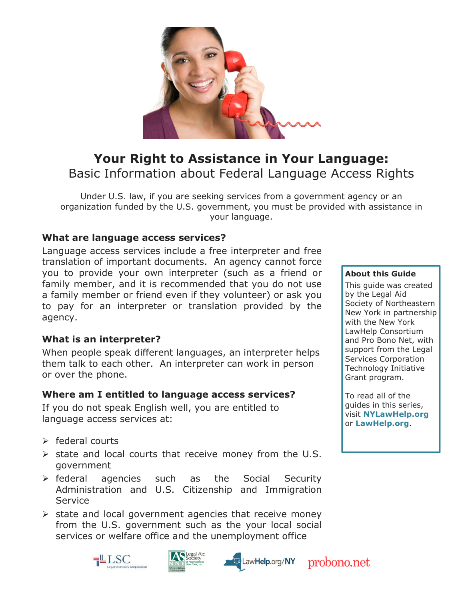

# Your Right to Assistance in Your Language: Basic Information about Federal Language Access Rights

Under U.S. law, if you are seeking services from a government agency or an organization funded by the U.S. government, you must be provided with assistance in your language.

## What are language access services?

Language access services include a free interpreter and free translation of important documents. An agency cannot force you to provide your own interpreter (such as a friend or family member, and it is recommended that you do not use a family member or friend even if they volunteer) or ask you to pay for an interpreter or translation provided by the agency.

## What is an interpreter?

When people speak different languages, an interpreter helps them talk to each other. An interpreter can work in person or over the phone.

## Where am I entitled to language access services?

If you do not speak English well, you are entitled to language access services at:

- $\triangleright$  federal courts
- $\triangleright$  state and local courts that receive money from the U.S. government
- **Example 2** federal agencies such as the Social Security Administration and U.S. Citizenship and Immigration Service
- $\triangleright$  state and local government agencies that receive money from the U.S. government such as the your local social services or welfare office and the unemployment office







#### About this Guide

This guide was created by the Legal Aid Society of Northeastern New York in partnership with the New York LawHelp Consortium and Pro Bono Net, with support from the Legal Services Corporation Technology Initiative Grant program.

To read all of the guides in this series, visit NYLawHelp.org or LawHelp.org.